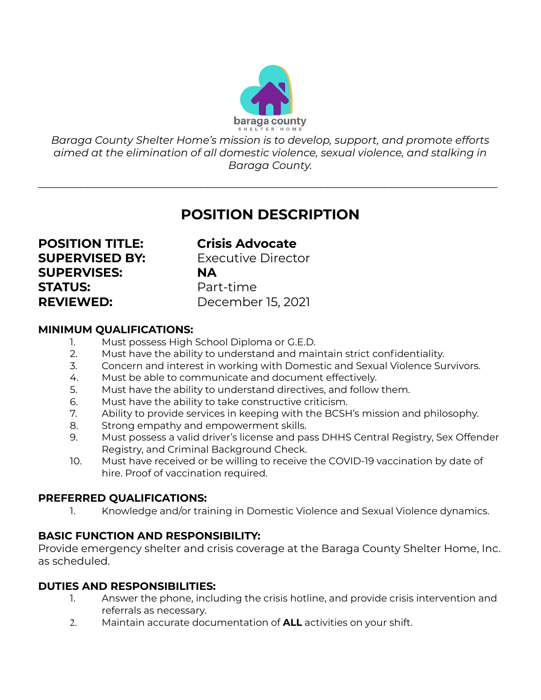

*Baraga County Shelter Home's mission is to develop, support, and promote efforts aimed at the elimination of all domestic violence, sexual violence, and stalking in Baraga County.*

 $\mathcal{L}_\text{max}$  , and the contract of the contract of the contract of the contract of the contract of the contract of the contract of the contract of the contract of the contract of the contract of the contract of the contr

# **POSITION DESCRIPTION**

**POSITION TITLE: Crisis Advocate SUPERVISED BY:** Executive Director **SUPERVISES: NA STATUS:** Part-time **REVIEWED:** December 15, 2021

#### **MINIMUM QUALIFICATIONS:**

- 1. Must possess High School Diploma or G.E.D.
- 2. Must have the ability to understand and maintain strict confidentiality.
- 3. Concern and interest in working with Domestic and Sexual Violence Survivors.
- 4. Must be able to communicate and document effectively.
- 5. Must have the ability to understand directives, and follow them.
- 6. Must have the ability to take constructive criticism.
- 7. Ability to provide services in keeping with the BCSH's mission and philosophy.
- 8. Strong empathy and empowerment skills.
- 9. Must possess a valid driver's license and pass DHHS Central Registry, Sex Offender Registry, and Criminal Background Check.
- 10. Must have received or be willing to receive the COVID-19 vaccination by date of hire. Proof of vaccination required.

### **PREFERRED QUALIFICATIONS:**

1. Knowledge and/or training in Domestic Violence and Sexual Violence dynamics.

## **BASIC FUNCTION AND RESPONSIBILITY:**

Provide emergency shelter and crisis coverage at the Baraga County Shelter Home, Inc. as scheduled.

### **DUTIES AND RESPONSIBILITIES:**

- 1. Answer the phone, including the crisis hotline, and provide crisis intervention and referrals as necessary.
- 2. Maintain accurate documentation of **ALL** activities on your shift.